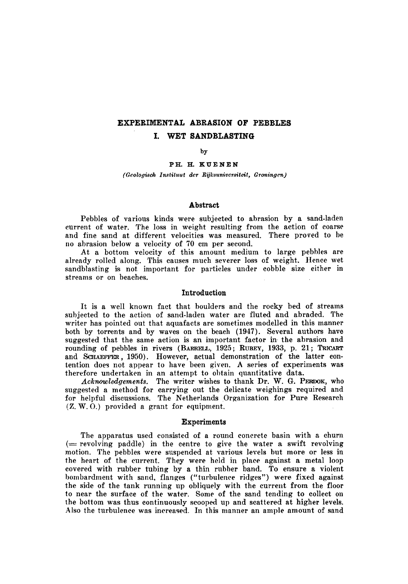# Experimental abrasion of pebbles I. Wet sandblasting

by

Ph. H. Kuenen

(Geologisch Instituut der Rijksuniversiteit, Groningen)

#### Abstract

Pebbles of various kinds were subjected to abrasion by a sand-laden current of water. The loss in weight resulting from the action of coarse and fine sand at different velocities was measured. There proved to be no abrasion below <sup>a</sup> velocity of <sup>70</sup> cm per second.

At <sup>a</sup> bottom velocity of this amount medium to large pebbles are already rolled along. This causes much severer loss of weight. Hence wet sandblasting is not important for particles under cobble size either in streams or on beaches.

# Introduction

It is <sup>a</sup> well known fact that boulders and the rocky bed of streams subjected to the action of sand-laden water are fluted and abraded. The writer has pointed out that aquafacts are sometimes modelled in this manner both by torrents and by waves on the beach (1947). Several authors have suggested that the same action is an important factor in the abrasion and rounding of pebbles in rivers (BARRELL, 1925; RUBEY, 1933, p. 21; TRICART and SCHAEFFER, 1950). However, actual demonstration of the latter contention does not appear to have been given. <sup>A</sup> series of experiments was therefore undertaken in an attempt to obtain quantitative data.

Acknowledgements. The writer wishes to thank Dr. W. G. PERDOK, who suggested <sup>a</sup> method for carrying out the delicate weighings required and for helpful discussions. The Netherlands Organization for Pure Research (Z. W. 0.) provided <sup>a</sup> grant for equipment.

#### Experiments

The apparatus used consisted of <sup>a</sup> round concrete basin with <sup>a</sup> churn  $($ = revolving paddle) in the centre to give the water a swift revolving motion. The pebbles were suspended at various levels but more or less in the heart of the current. They were held in place against a metal loop covered with rubber tubing by <sup>a</sup> thin rubber band. To ensure a violent bombardment with sand, flanges ("turbulence ridges") were fixed against the side of the tank running up obliquely with the current from the floor to near the surface of the water. Some of the sand tending to collect on the bottom was thus continuously scooped up and scattered at higher levels. Also the turbulence was increased. In this manner an ample amount of sand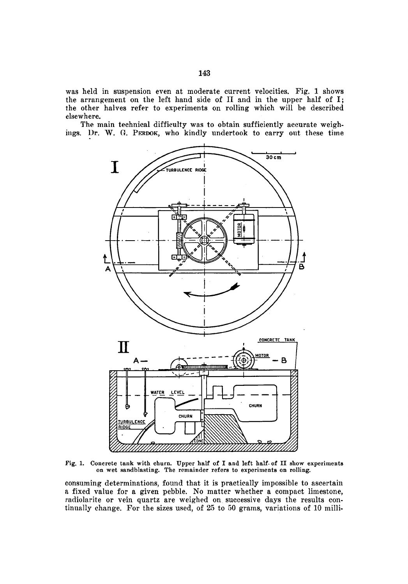was held in suspension even at moderate current velocities. Pig. <sup>1</sup> shows was net in suspension even at moderate current velocities. Fig. 1 shows<br>the arrangement on the left hand side of II and in the upper half of I; the other halves refer to experiments on rolling which will be described elsewhere.

The main technical difficulty was to obtain sufficiently accurate weighings. Dr. W. G. PERDOK, who kindly undertook to carry out these time



Fig. 1. Concrete tank with churn. Upper half of I and left half of II show experiments on wet sandblasting. The remainder refers to experiments on rolling.

consuming; determinations, found that it is practically impossible to ascertain <sup>a</sup> fixed value for <sup>a</sup> given pebble. No matter whether <sup>a</sup> compact limestone, radiolarite or vein quartz are weighed on successive days the results continually change. For the sizes used, of <sup>25</sup> to <sup>50</sup> grams, variations of <sup>10</sup> milli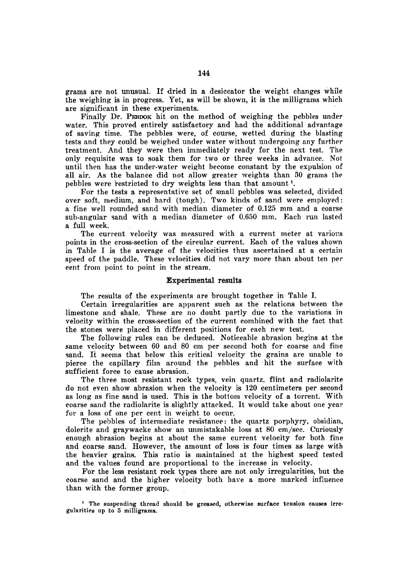grams are not unusual. If dried in <sup>a</sup> desiccator the weight changes while the weighing is in progress. Yet, as will be shown, it is the milligrams which are significant in these experiments.

Finally Dr. PERDOK hit on the method of weighing the pebbles under water. This proved entirely satisfactory and had the additional advantage of saving time. The pebbles were, of course, wetted during the blasting tests and they could be weighed under water without undergoing any further treatment. And they were then immediately ready for the next test. The only requisite was to soak them for two or three weeks in advance. Not until then has the under-water weight become constant by the expulsion of all air. As the balance did not allow greater weights than <sup>30</sup> grams the pebbles were restricted to dry weights less than that amount <sup>1</sup>.

For the tests <sup>a</sup> representative set of small pebbles was selected, divided over soft, medium, and hard (tough). Two kinds of sand were employed: <sup>a</sup> fine well rounded sand with median diameter of 0.125 mm and <sup>a</sup> coarse sub-angular sand with <sup>a</sup> median diameter of 0.650 mm. Kach run lasted <sup>a</sup> full week.

The current velocity was measured with <sup>a</sup> current meter at various points in the cross-section of the circular current. Each of the values shown in Table I is the average of the velocities thus ascertained at <sup>a</sup> certain speed of the paddle. These velocities did hot vary more than about ten per cent from point to point in the stream.

# Experimental results

The results of the experiments are brought together in Table I.

Certain irregularities are apparent such as the relations between the limestone and shale. These are no doubt partly due to the variations in velocity within the cross-section of the current combined with the fact that the stones were placed in different positions for each new test.

The following rules can be deduced. Noticeable abrasion begins at the same velocity between <sup>60</sup> and <sup>80</sup> cm per second both for coarse and fine sand. It seems that below this critical velocity the grains are unable to pierce the capillary film around the pebbles and hit the surface with sufficient force to cause abrasion.

The three most resistant rock types, vein quartz, flint and radiolarite do not even show abrasion when the velocity is 120 centimeters per second as long as fine sand is used. This is the bottom velocity of <sup>a</sup> torrent. With coarse sand the radiolarite is slightly attacked. It would take about one year for <sup>a</sup> loss of one per cent in weight to occur.

The pebbles of intermediate resistance: the quartz porphyry, obsidian, dolerite and graywacke show an unmistakable loss at <sup>80</sup> em/sec. Curiously enough abrasion begins at about the same current velocity for both fine and coarse sand. However, the amount of loss is four times as large with the heavier grains. This ratio is maintained at the highest speed tested and the values found are proportional to the increase in velocity.

For the less resistant rock types there are not only irregularities, but the coarse sand and the higher velocity both have a more marked influence than with the former group.

<sup>1</sup> The suspending thread should be greased, otherwise surface tension causes irre gularities up to <sup>5</sup> milligrams.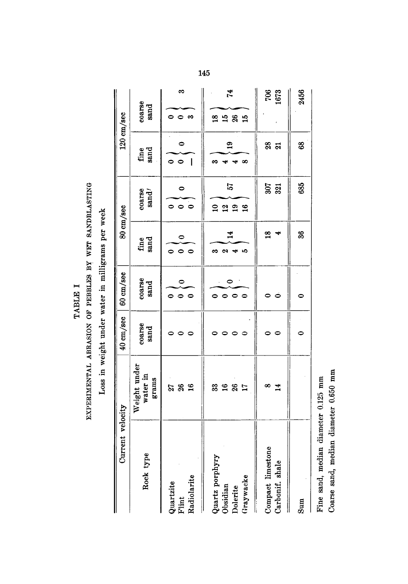TABLE I TABLE I

# $\overline{\phantom{a}}$ OF <u>'er</u>  $\Rightarrow$  $-$

Loss in weight  $\overline{\phantom{a}}$  $\mathbf{r}$ in  $\tilde{\phantom{a}}$ week

| Current velocity                                     |                                   | 40 cm/sec      | 60 cm/sec        |                                                                           | 80 cm/sec                                    |                                   | 120 cm/sec                            |
|------------------------------------------------------|-----------------------------------|----------------|------------------|---------------------------------------------------------------------------|----------------------------------------------|-----------------------------------|---------------------------------------|
| Rock type                                            | Weight under<br>water in<br>grams | coarse<br>sand | coarse<br>sand   | fine<br>sand                                                              | coarse<br>$\mathrm{sand}^{\prime}$           | sand<br>fine                      | coarse<br>sand                        |
| Radiolarite<br>Quartzite<br>Flint                    | 36<br>$\frac{6}{16}$<br>21        | 0              | 0<br>0<br>0      | 0<br>$\circ$<br>$\circ$                                                   | 0<br>$\bullet$<br>$\bullet$                  | $\bullet$<br>$\circ$ $\circ$<br>l | က<br>$\bullet$<br>∞                   |
| Quartz porphyry<br>Graywacke<br>Obsidian<br>Dolerite | 26<br>17<br>16<br>33              | 0              | 0<br>0<br>0<br>0 | $\mathbf{1}^4$<br><b>QI</b><br><b>LC</b><br>$\overline{\phantom{a}}$<br>∞ | 57<br>$\overline{a}$<br>$\frac{2}{19}$<br>16 | $\mathbf{e}$<br>ణ<br>∞            | $\mathbf{r}$<br>$\frac{8}{1}$<br>1580 |
| Compact limestone<br>Carbonif. shale                 | ∞<br>$\overline{14}$              |                | 0                | $\frac{8}{10}$<br>₩                                                       | 307<br>321                                   | $28$ $21$                         | 706<br>1673                           |
| Sum                                                  |                                   | 0              | 0                | 36                                                                        | 685                                          | $8^{\circ}$                       | 2456                                  |
| Fine sand, median diameter 0.125 mm                  |                                   |                |                  |                                                                           |                                              |                                   |                                       |

Coarse

sand,

median

diameter

—ี.

mm

145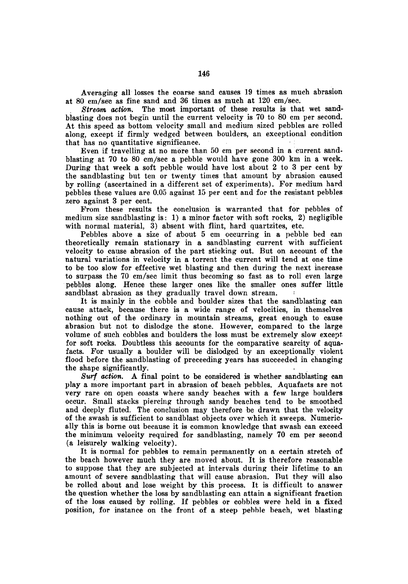Averaging all losses the coarse sand causes 19 times as much abrasion at <sup>80</sup> cm/sec as fine sand and <sup>36</sup> times as much at 120 em/sec.

Stream, action. The most important of these results is that wet sandblasting does not begin until the current velocity is <sup>70</sup> to <sup>80</sup> cm per second. At this speed as bottom velocity small and medium sized pebbles are rolled along, except if firmly wedged between boulders, an exceptional condition that has no quantitative significance.

Even if travelling at no more than <sup>50</sup> em per second in <sup>a</sup> current sandblasting at <sup>70</sup> to <sup>80</sup> cm/sec <sup>a</sup> pebble would have gone <sup>300</sup> km in <sup>a</sup> week. During that week <sup>a</sup> soft pebble would have lost about 2 to <sup>3</sup> per cent by the sandblasting but ten or twenty times that amount by abrasion caused by rolling (ascertained in a different set of experiments). For medium hard pebbles these values are 0.05 against <sup>15</sup> per cent and for the resistant pebbles zero against <sup>3</sup> per cent.

Prom these results the conclusion is warranted that for pebbles of medium size sandblasting is: 1) a minor factor with soft rocks, 2) negligible with normal material, 3) absent with flint, hard quartzites, etc.

Pebbles above a size of about <sup>5</sup> cm occurring in a pebble bed can theoretically remain stationary in a sandblasting current with sufficient velocity to cause abrasion of the part sticking out. But on account of the natural variations in velocity in <sup>a</sup> torrent the current will tend at one time to be too slow for effective wet blasting and then during the next increase to surpass the <sup>70</sup> cm/sec limit thus becoming so fast as to roll even large pebbles along. Hence these larger ones like the smaller ones suffer little sandblast abrasion as they gradually travel down stream.

It is mainly in the cobble and boulder sizes that the sandblasting can cause attack, because there is <sup>a</sup> wide range of velocities, in themselves nothing out of the ordinary in mountain streams, great enough to cause abrasion but not to dislodge the stone. However, compared to the large volume of such cobbles and boulders the loss must be extremely slow except for soft rocks. Doubtless this accounts for the comparative scarcity of aquafacts. For usually <sup>a</sup> boulder will be dislodged by an exceptionally violent flood before the sandblasting of preceeding years has succeeded in changing the shape significantly.

Surf action. A final point to be considered is whether sandblasting can play a more important part in abrasion of beach pebbles. Aquafacts are not very rare on open coasts where sandy beaches with <sup>a</sup> few large boulders occur. Small stacks piercing through sandy beaches tend to be smoothed and deeply fluted. The conclusion may therefore be drawn that the velocity of the swash is sufficient to sandblast objects over which it sweeps. Numerically this is borne out because it is common knowledge that swash can exceed the minimum velocity required for sandblasting, namely 70 cm per second (a leisurely walking velocity).

It is normal for pebbles to remain permanently on <sup>a</sup> certain stretch of the beach however much they are moved about. It is therefore reasonable to suppose that they are subjected at intervals during their lifetime to an amount of severe sandblasting that will cause abrasion. But they will also be rolled about and lose weight by this process. It is difficult to answer the question whether the loss by sandblasting can attain <sup>a</sup> significant fraction of the loss caused by rolling. If pebbles or cobbles were held in <sup>a</sup> fixed position, for instance on the front of <sup>a</sup> steep pebble beach, wet blasting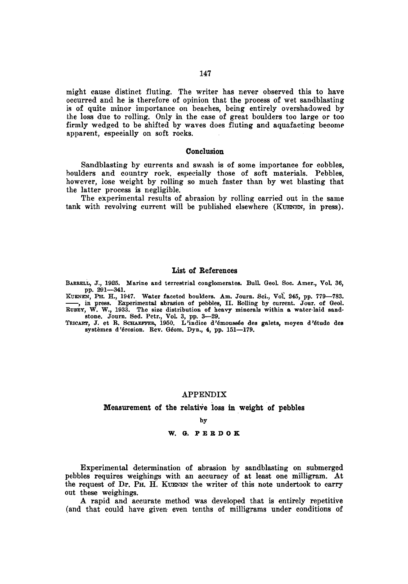might cause distinct fluting. The writer has never observed this to have occurred and he is therefore of opinion that the process of wet sandblasting is of quite minor importance on beaches, being entirely overshadowed by Ihe loss due to rolling. Only in the case of great boulders too large or too firmly wedged to be shifted by waves does fluting and aquafacting become apparent, especially on soft rocks.

#### Conclusion

Sandblasting by currents and swash is of some importance for cobbles, boulders and country rock, especially those of soft materials. Pebbles, however, lose weight by rolling so much faster than by wet blasting that the latter process is negligible.

The experimental results of abrasion by rolling carried out in the same tank with revolving current will be published elsewhere (Kuenen, in press).

# List of References

BARRELL, J., 1925. Marine and terrestrial conglomerates. Bull. Geol. Soc. Amer., Vol. 36, pp. 291—341.

Kuenen, Ph. H., 1947. Water faceted boulders. Am. Journ. Sei., Vol. 245, pp. 779—783. , in press. Experimental abrasion of pebbles, II. Rolling by current. Jour, of Qeol. Rubey, W. W., 1933. The size distribution of heavy minerals within a water-laid sandstone. Journ. Sed. Petr., Vol. 3, pp. 3-29.<br>Tricart, J. et R. SCHAEFFER, 1950. L'indice d'émoussée des galets, moyen d'étude des

systèmes d'érosion. Rev. Géom. Dyn., 4, pp. 151-179.

# APPENDIX

Measurement of the relative loss in weight of pebbles

by

#### W. G. P E R D <sup>O</sup> K

Experimental determination of abrasion by sandblasting on submerged pebbles requires weighings with an accuracy of at least one milligram. At the request of Dr. Ph. H. Kuenen the writer of this note undertook to carry out these weighings.

A rapid and accurate method was developed that is entirely repetitive (and that could have given even tenths of milligrams under conditions of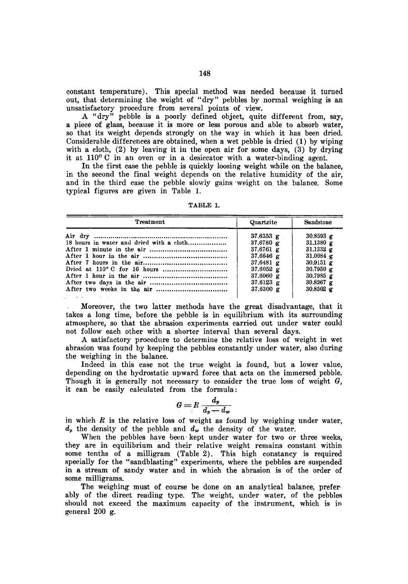constant temperature). This special method was needed because it turned out, that determining the weight of "dry" pebbles by normal weighing is an unsatisfactory procedure from several points of view.

A "dry" pebble is a poorly defined object, quite different from, say, <sup>a</sup> piece of glass, because it is more or less porous and able to absorb water, so that its weight depends strongly on the way in which it has been dried. Considerable differences are obtained, when <sup>a</sup> wet pebble is dried (1) by wiping with a cloth,  $(2)$  by leaving it in the open air for some days,  $(3)$  by drying it at  $110^{\circ}$  C in an oven or in a desiccator with a water-binding agent.

In the first ease the pebble is quickly loosing weight while on the balance, in the second the final weight depends on the relative humidity of the air, and in the third case the pebble slowly gains weight on the balance. Some typical figures are given in Table 1.

| <b>TABLE</b> |  |
|--------------|--|
|              |  |

| Treatment                                | Quartzite           | Sandstone        |
|------------------------------------------|---------------------|------------------|
|                                          | $37.6353 \text{ g}$ | 30.8593 $\alpha$ |
| 18 hours in water and dried with a cloth | 37.6780 $\sigma$    | 31,1380 $g$      |
|                                          | 37.6761 g           | 31.1332 g        |
|                                          | 37.6646 $g$         | 31.0084 $\sigma$ |
|                                          | 37.6481 $g$         | 30.9151 $g$      |
|                                          | $37.6052 \text{ g}$ | 30.7950 $\alpha$ |
|                                          | $37.6060 \text{ g}$ | 30.7985 $\sigma$ |
|                                          | 37.6123 $g$         | 30.8267 g        |
|                                          | 37.6300 g           | 30.8502 $g$      |

Moreover, the two latter methods have the great disadvantage, that it takes <sup>a</sup> long time, before the pebble is in equilibrium with its surrounding atmosphere, so that the abrasion experiments carried out under water could not follow each other with <sup>a</sup> shorter interval than several days.

A satisfactory procedure to determine the relative loss of weight in wet abrasion was found by keeping the pebbles constantly under water, also during the weighing in the balance.

Indeed in this case not the true weight is found, but <sup>a</sup> lower value, depending on the hydrostatic upward force that acts on the immersed pebble. Though it is generally not necessary to consider the true loss of weight  $G$ , it can be easily calculated from the formula:

$$
G = R \frac{d_p}{d_p - d_w}
$$

in which  $R$  is the relative loss of weight as found by weighing under water,  $d_p$  the density of the pebble and  $d_w$  the density of the water.

When the pebbles have been kept under water for two or three weeks, they are in equilibrium and their relative weight remains constant within some tenths of <sup>a</sup> milligram (Table 2). This high constancy is required specially for the "sandblasting" experiments, where the pebbles are suspended in a stream of sandy water and in which the abrasion is of the order of some milligrams.

The weighing must of course be done on an analytical balance, prefer ably of the direct reading type. The weight, under water, of the pebbles should not exceed the maximum capacity of the instrument, which is in general 200 g.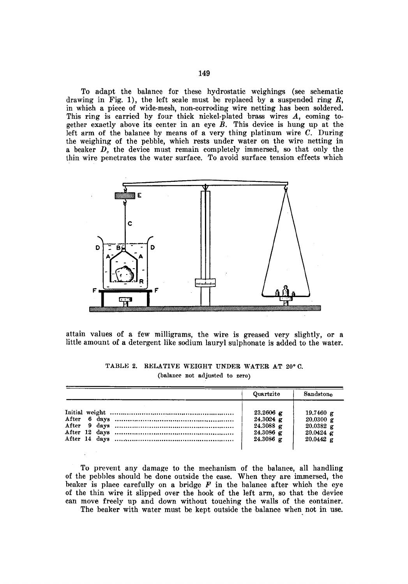To adapt the balance for these hydrostatic weighings (see schematic drawing in Fig. 1), the left scale must be replaced by a suspended ring  $R$ , in which a piece of wide-mesh, non-corroding wire netting has been soldered. This ring is carried by four thick nickel-plated brass wires  $A$ , coming together exactly above its center in an eye  $\overline{B}$ . This device is hung up at the left arm of the balance by means of <sup>a</sup> very thing platinum wire C. During the weighing of the pebble, which rests under water on the wire netting in <sup>a</sup> beaker D, the device must remain completely immersed, so that only the thin wire penetrates the water surface. To avoid surface tension effects which



attain values of <sup>a</sup> few milligrams, the wire is greased very slightly, or <sup>a</sup> little amount of <sup>a</sup> detergent like sodium lauryl sulphonate is added to the water.

| Quartzite   | Sandstone   |
|-------------|-------------|
| $23.2606$ g | 19.7460 $g$ |
| $24.3024$ g | 20.0300 g   |
| $24.3088$ g | 20.0382 g   |
| $24.3086$ g | $20.0424$ g |
| $24.3086$ g | $20.0442$ g |

# TABLE 2. RELATIVE WEIGHT UNDER WATER AT 20° C. (balance not adjusted to zero)

To prevent any damage to the mechanism of the balance, all handling of the pebbles should be done outside the case. When they are immersed, the beaker is place carefully on a bridge  $F$  in the balance after which the eye of the thin wire it slipped over the hook of the left arm, so that the device can move freely up and down without touching the walls of the container.

The beaker with water must be kept outside the balance when not in use.